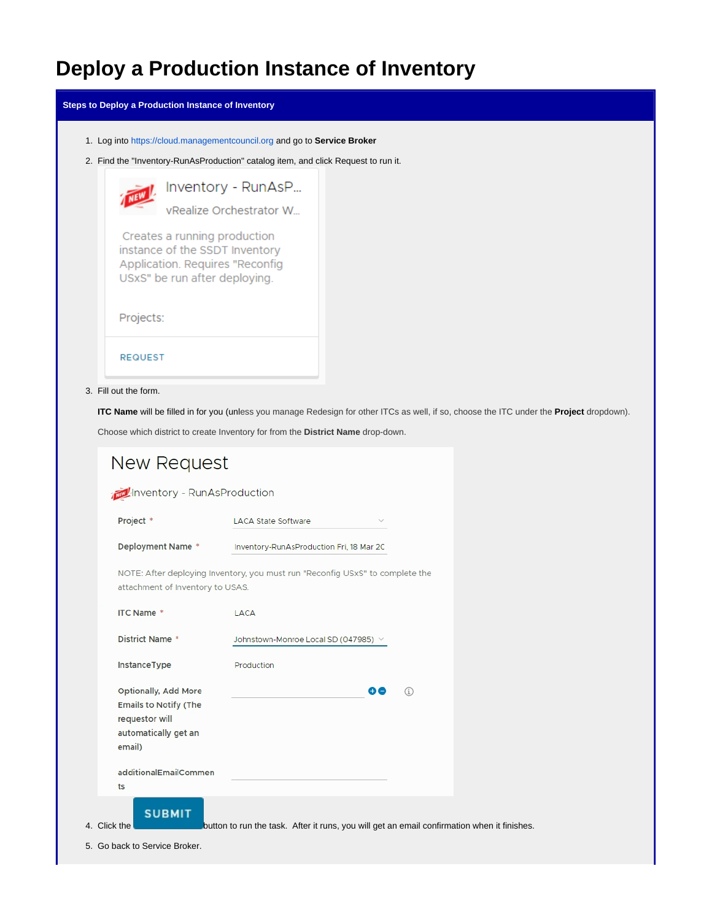## **Deploy a Production Instance of Inventory**

**Steps to Deploy a Production Instance of Inventory**

- 1. Log into <https://cloud.managementcouncil.org> and go to **Service Broker**
- 2. Find the "Inventory-RunAsProduction" catalog item, and click Request to run it.



## 3. Fill out the form.

**ITC Name** will be filled in for you (unless you manage Redesign for other ITCs as well, if so, choose the ITC under the **Project** dropdown).

Choose which district to create Inventory for from the **District Name** drop-down.

| New Request                                                                                                     |                                                                                             |   |
|-----------------------------------------------------------------------------------------------------------------|---------------------------------------------------------------------------------------------|---|
| Inventory - RunAsProduction                                                                                     |                                                                                             |   |
| Project *                                                                                                       | <b>LACA State Software</b>                                                                  |   |
| Deployment Name *                                                                                               | Inventory-RunAsProduction Fri, 18 Mar 2C                                                    |   |
| attachment of Inventory to USAS.                                                                                | NOTE: After deploying Inventory, you must run "Reconfig USxS" to complete the               |   |
| <b>ITC Name *</b>                                                                                               | LACA                                                                                        |   |
| <b>District Name *</b>                                                                                          | Johnstown-Monroe Local SD (047985) $\vee$                                                   |   |
| InstanceType                                                                                                    | Production                                                                                  |   |
| <b>Optionally, Add More</b><br><b>Emails to Notify (The</b><br>requestor will<br>automatically get an<br>email) | 60                                                                                          | G |
| additionalEmailCommen<br>ts                                                                                     |                                                                                             |   |
| <b>SUBMIT</b><br>4. Click the                                                                                   | button to run the task. After it runs, you will get an email confirmation when it finishes. |   |

5. Go back to Service Broker.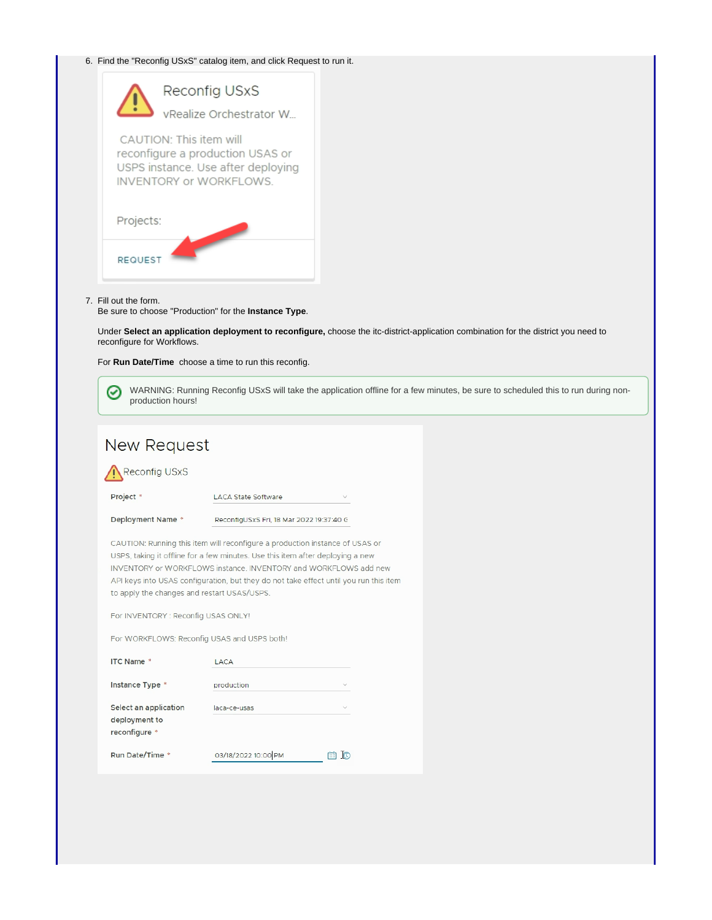## 6. Find the "Reconfig USxS" catalog item, and click Request to run it.



## 7. Fill out the form.

Be sure to choose "Production" for the **Instance Type**.

Under **Select an application deployment to reconfigure,** choose the itc-district-application combination for the district you need to reconfigure for Workflows.

For **Run Date/Time** choose a time to run this reconfig.

WARNING: Running Reconfig USxS will take the application offline for a few minutes, be sure to scheduled this to run during non-Ø production hours!

| New Request                                                                                                                                                                                                                                                                                                                                                                                                                                                      |                                          |        |  |  |
|------------------------------------------------------------------------------------------------------------------------------------------------------------------------------------------------------------------------------------------------------------------------------------------------------------------------------------------------------------------------------------------------------------------------------------------------------------------|------------------------------------------|--------|--|--|
| Reconfig USxS                                                                                                                                                                                                                                                                                                                                                                                                                                                    |                                          |        |  |  |
| Project *                                                                                                                                                                                                                                                                                                                                                                                                                                                        | <b>LACA State Software</b>               |        |  |  |
| Deployment Name *                                                                                                                                                                                                                                                                                                                                                                                                                                                | ReconfigUSxS Fri, 18 Mar 2022 19:37:40 G |        |  |  |
| CAUTION: Running this item will reconfigure a production instance of USAS or<br>USPS, taking it offline for a few minutes. Use this item after deploying a new<br>INVENTORY or WORKFLOWS instance. INVENTORY and WORKFLOWS add new<br>API keys into USAS configuration, but they do not take effect until you run this item<br>to apply the changes and restart USAS/USPS.<br>For INVENTORY : Reconfig USAS ONLY!<br>For WORKFLOWS: Reconfig USAS and USPS both! |                                          |        |  |  |
| <b>ITC Name *</b>                                                                                                                                                                                                                                                                                                                                                                                                                                                | <b>LACA</b>                              |        |  |  |
| Instance Type *                                                                                                                                                                                                                                                                                                                                                                                                                                                  | production                               |        |  |  |
| Select an application<br>deployment to<br>reconfigure *                                                                                                                                                                                                                                                                                                                                                                                                          | laca-ce-usas                             |        |  |  |
| Run Date/Time *                                                                                                                                                                                                                                                                                                                                                                                                                                                  | 03/18/2022 10:00 PM                      | r<br>m |  |  |